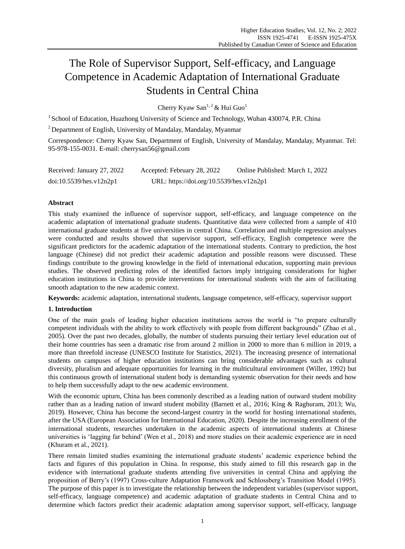# The Role of Supervisor Support, Self-efficacy, and Language Competence in Academic Adaptation of International Graduate Students in Central China

Cherry Kyaw San<sup>1, 2</sup> & Hui Guo<sup>1</sup>

<sup>1</sup> School of Education, Huazhong University of Science and Technology, Wuhan 430074, P.R. China

<sup>2</sup> Department of English, University of Mandalay, Mandalay, Myanmar

Correspondence: Cherry Kyaw San, Department of English, University of Mandalay, Mandalay, Myanmar. Tel: 95-978-155-0031. E-mail: cherrysan56@gmail.com

| Received: January 27, 2022 | Accepted: February 28, 2022              | Online Published: March 1, 2022 |
|----------------------------|------------------------------------------|---------------------------------|
| doi:10.5539/hes.v12n2p1    | URL: https://doi.org/10.5539/hes.v12n2p1 |                                 |

# **Abstract**

This study examined the influence of supervisor support, self-efficacy, and language competence on the academic adaptation of international graduate students. Quantitative data were collected from a sample of 410 international graduate students at five universities in central China. Correlation and multiple regression analyses were conducted and results showed that supervisor support, self-efficacy, English competence were the significant predictors for the academic adaptation of the international students. Contrary to prediction, the host language (Chinese) did not predict their academic adaptation and possible reasons were discussed. These findings contribute to the growing knowledge in the field of international education, supporting main previous studies. The observed predicting roles of the identified factors imply intriguing considerations for higher education institutions in China to provide interventions for international students with the aim of facilitating smooth adaptation to the new academic context.

**Keywords:** academic adaptation, international students, language competence, self-efficacy, supervisor support

## **1. Introduction**

One of the main goals of leading higher education institutions across the world is "to prepare culturally competent individuals with the ability to work effectively with people from different backgrounds" (Zhao et al., 2005). Over the past two decades, globally, the number of students pursuing their tertiary level education out of their home countries has seen a dramatic rise from around 2 million in 2000 to more than 6 million in 2019, a more than threefold increase (UNESCO Institute for Statistics, 2021). The increasing presence of international students on campuses of higher education institutions can bring considerable advantages such as cultural diversity, pluralism and adequate opportunities for learning in the multicultural environment (Willer, 1992) but this continuous growth of international student body is demanding systemic observation for their needs and how to help them successfully adapt to the new academic environment.

With the economic upturn, China has been commonly described as a leading nation of outward student mobility rather than as a leading nation of inward student mobility (Barnett et al., 2016; King & Raghuram, 2013; Wu, 2019). However, China has become the second-largest country in the world for hosting international students, after the USA (European Association for International Education, 2020). Despite the increasing enrollment of the international students, researches undertaken in the academic aspects of international students at Chinese universities is "lagging far behind" (Wen et al., 2018) and more studies on their academic experience are in need (Khuram et al., 2021).

There remain limited studies examining the international graduate students" academic experience behind the facts and figures of this population in China. In response, this study aimed to fill this research gap in the evidence with international graduate students attending five universities in central China and applying the proposition of Berry"s (1997) Cross-culture Adaptation Framework and Schlossberg"s Transition Model (1995). The purpose of this paper is to investigate the relationship between the independent variables (supervisor support, self-efficacy, language competence) and academic adaptation of graduate students in Central China and to determine which factors predict their academic adaptation among supervisor support, self-efficacy, language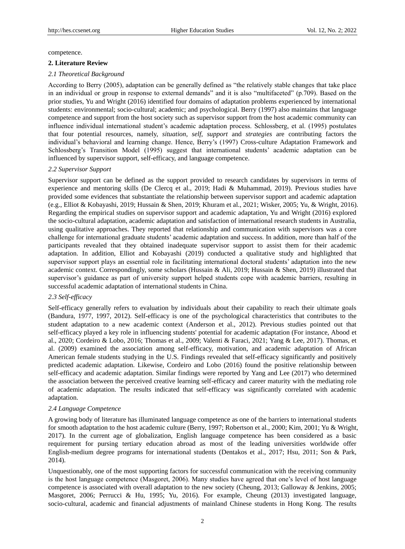competence.

## **2. Literature Review**

## *2.1 Theoretical Background*

According to Berry (2005), adaptation can be generally defined as "the relatively stable changes that take place in an individual or group in response to external demands" and it is also "multifaceted" (p.709). Based on the prior studies, Yu and Wright (2016) identified four domains of adaptation problems experienced by international students: environmental; socio-cultural; academic; and psychological. Berry (1997) also maintains that language competence and support from the host society such as supervisor support from the host academic community can influence individual international student"s academic adaptation process. Schlossberg, et al. (1995) postulates that four potential resources, namely, *situation*, *self*, *support* and *strategies* are contributing factors the individual's behavioral and learning change. Hence, Berry's (1997) Cross-culture Adaptation Framework and Schlossberg"s Transition Model (1995) suggest that international students" academic adaptation can be influenced by supervisor support, self-efficacy, and language competence.

## *2.2 Supervisor Support*

Supervisor support can be defined as the support provided to research candidates by supervisors in terms of experience and mentoring skills (De Clercq et al., 2019; Hadi & Muhammad, 2019). Previous studies have provided some evidences that substantiate the relationship between supervisor support and academic adaptation (e.g., Elliot & Kobayashi, 2019; Hussain & Shen, 2019; Khuram et al., 2021; Wisker, 2005; Yu, & Wright, 2016). Regarding the empirical studies on supervisor support and academic adaptation, Yu and Wright (2016) explored the socio-cultural adaptation, academic adaptation and satisfaction of international research students in Australia, using qualitative approaches. They reported that relationship and communication with supervisors was a core challenge for international graduate students" academic adaptation and success. In addition, more than half of the participants revealed that they obtained inadequate supervisor support to assist them for their academic adaptation. In addition, Elliot and Kobayashi (2019) conducted a qualitative study and highlighted that supervisor support plays an essential role in facilitating international doctoral students' adaptation into the new academic context. Correspondingly, some scholars (Hussain & Ali, 2019; Hussain & Shen, 2019) illustrated that supervisor's guidance as part of university support helped students cope with academic barriers, resulting in successful academic adaptation of international students in China.

## *2.3 Self-efficacy*

Self-efficacy generally refers to evaluation by individuals about their capability to reach their ultimate goals (Bandura, 1977, 1997, 2012). Self-efficacy is one of the psychological characteristics that contributes to the student adaptation to a new academic context (Anderson et al., 2012). Previous studies pointed out that self-efficacy played a key role in influencing students' potential for academic adaptation (For instance, Abood et al., 2020; Cordeiro & Lobo, 2016; Thomas et al., 2009; Valenti & Faraci, 2021; Yang & Lee, 2017). Thomas, et al. (2009) examined the association among self-efficacy, motivation, and academic adaptation of African American female students studying in the U.S. Findings revealed that self-efficacy significantly and positively predicted academic adaptation. Likewise, Cordeiro and Lobo (2016) found the positive relationship between self-efficacy and academic adaptation. Similar findings were reported by Yang and Lee (2017) who determined the association between the perceived creative learning self-efficacy and career maturity with the mediating role of academic adaptation. The results indicated that self-efficacy was significantly correlated with academic adaptation.

## *2.4 Language Competence*

A growing body of literature has illuminated language competence as one of the barriers to international students for smooth adaptation to the host academic culture (Berry, 1997; Robertson et al., 2000; Kim, 2001; Yu & Wright, 2017). In the current age of globalization, English language competence has been considered as a basic requirement for pursing tertiary education abroad as most of the leading universities worldwide offer English-medium degree programs for international students (Dentakos et al., 2017; Hsu, 2011; Son & Park, 2014).

Unquestionably, one of the most supporting factors for successful communication with the receiving community is the host language competence (Masgoret, 2006). Many studies have agreed that one"s level of host language competence is associated with overall adaptation to the new society (Cheung, 2013; Galloway & Jenkins, 2005; Masgoret, 2006; Perrucci & Hu, 1995; Yu, 2016). For example, Cheung (2013) investigated language, socio-cultural, academic and financial adjustments of mainland Chinese students in Hong Kong. The results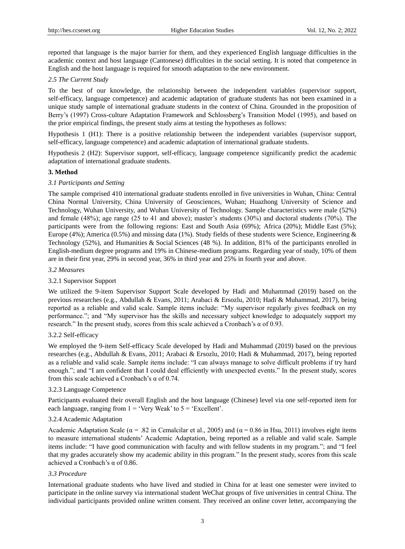reported that language is the major barrier for them, and they experienced English language difficulties in the academic context and host language (Cantonese) difficulties in the social setting. It is noted that competence in English and the host language is required for smooth adaptation to the new environment.

# *2.5 The Current Study*

To the best of our knowledge, the relationship between the independent variables (supervisor support, self-efficacy, language competence) and academic adaptation of graduate students has not been examined in a unique study sample of international graduate students in the context of China. Grounded in the proposition of Berry's (1997) Cross-culture Adaptation Framework and Schlossberg's Transition Model (1995), and based on the prior empirical findings, the present study aims at testing the hypotheses as follows:

Hypothesis 1 (H1): There is a positive relationship between the independent variables (supervisor support, self-efficacy, language competence) and academic adaptation of international graduate students.

Hypothesis 2 (H2): Supervisor support, self-efficacy, language competence significantly predict the academic adaptation of international graduate students.

## **3. Method**

## *3.1 Participants and Setting*

The sample comprised 410 international graduate students enrolled in five universities in Wuhan, China: Central China Normal University, China University of Geosciences, Wuhan; Huazhong University of Science and Technology, Wuhan University, and Wuhan University of Technology. Sample characteristics were male (52%) and female  $(48\%)$ ; age range  $(25 \text{ to } 41 \text{ and above})$ ; master's students  $(30\%)$  and doctoral students  $(70\%)$ . The participants were from the following regions: East and South Asia (69%); Africa (20%); Middle East (5%); Europe (4%); America (0.5%) and missing data (1%). Study fields of these students were Science, Engineering & Technology (52%), and Humanities & Social Sciences (48 %). In addition, 81% of the participants enrolled in English-medium degree programs and 19% in Chinese-medium programs. Regarding year of study, 10% of them are in their first year, 29% in second year, 36% in third year and 25% in fourth year and above.

## *3.2 Measures*

## 3.2.1 Supervisor Support

We utilized the 9-item Supervisor Support Scale developed by Hadi and Muhammad (2019) based on the previous researches (e.g., Abdullah & Evans, 2011; Arabaci & Ersozlu, 2010; Hadi & Muhammad, 2017), being reported as a reliable and valid scale. Sample items include: "My supervisor regularly gives feedback on my performance."; and "My supervisor has the skills and necessary subject knowledge to adequately support my research." In the present study, scores from this scale achieved a Cronbach's  $\alpha$  of 0.93.

## 3.2.2 Self-efficacy

We employed the 9-item Self-efficacy Scale developed by Hadi and Muhammad (2019) based on the previous researches (e.g., Abdullah & Evans, 2011; Arabaci & Ersozlu, 2010; Hadi & Muhammad, 2017), being reported as a reliable and valid scale. Sample items include: "I can always manage to solve difficult problems if try hard enough."; and "I am confident that I could deal efficiently with unexpected events." In the present study, scores from this scale achieved a Cronbach's  $\alpha$  of 0.74.

## 3.2.3 Language Competence

Participants evaluated their overall English and the host language (Chinese) level via one self-reported item for each language, ranging from  $1 = 'V$ ery Weak' to  $5 = 'Executelet'.$ 

## 3.2.4 Academic Adaptation

Academic Adaptation Scale ( $\alpha = .82$  in Cemalcilar et al., 2005) and ( $\alpha = 0.86$  in Hsu, 2011) involves eight items to measure international students" Academic Adaptation, being reported as a reliable and valid scale. Sample items include: "I have good communication with faculty and with fellow students in my program."; and "I feel that my grades accurately show my academic ability in this program." In the present study, scores from this scale achieved a Cronbach"s α of 0.86.

## *3.3 Procedure*

International graduate students who have lived and studied in China for at least one semester were invited to participate in the online survey via international student WeChat groups of five universities in central China. The individual participants provided online written consent. They received an online cover letter, accompanying the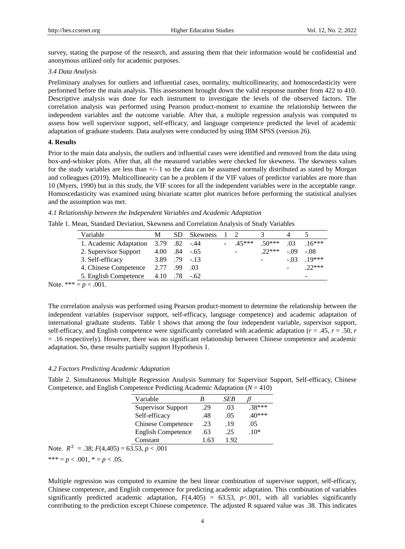survey, stating the purpose of the research, and assuring them that their information would be confidential and anonymous utilized only for academic purposes.

#### *3.4 Data Analysis*

Preliminary analyses for outliers and influential cases, normality, multicollinearity, and homoscedasticity were performed before the main analysis. This assessment brought down the valid response number from 422 to 410. Descriptive analysis was done for each instrument to investigate the levels of the observed factors. The correlation analysis was performed using Pearson product-moment to examine the relationship between the independent variables and the outcome variable. After that, a multiple regression analysis was computed to assess how well supervisor support, self-efficacy, and language competence predicted the level of academic adaptation of graduate students. Data analyses were conducted by using IBM SPSS (version 26).

#### **4. Results**

Prior to the main data analysis, the outliers and influential cases were identified and removed from the data using box-and-whisker plots. After that, all the measured variables were checked for skewness. The skewness values for the study variables are less than +/- 1 so the data can be assumed normally distributed as stated by Morgan and colleagues (2019). Multicollinearity can be a problem if the VIF values of predictor variables are more than 10 (Myers, 1990) but in this study, the VIF scores for all the independent variables were in the acceptable range. Homoscedasticity was examined using bivariate scatter plot matrices before performing the statistical analyses and the assumption was met.

#### *4.1 Relationship between the Independent Variables and Academic Adaptation*

Table 1. Mean, Standard Deviation, Skewness and Correlation Analysis of Study Variables

| Variable               | М    | SD       | <b>Skewness</b> |                          |            |        |          |
|------------------------|------|----------|-----------------|--------------------------|------------|--------|----------|
| 1. Academic Adaptation | 3.79 | .82 -.44 |                 | 45***                    | $50***$    | .03    | $.16***$ |
| 2. Supervisor Support  | 4.00 |          | $.84 - .65$     | $\overline{\phantom{0}}$ | $22***$    | $-.09$ | $-.08$   |
| 3. Self-efficacy       | 3.89 |          | $.79 - 13$      |                          | $\sim 100$ | $-.03$ | $19***$  |
| 4. Chinese Competence  | 2.77 | .99      | .03             |                          |            |        | $22***$  |
| 5. English Competence  | 4.10 | .78      | $-.62$          |                          |            |        | -        |

Note. \*\*\* =  $p < .001$ .

The correlation analysis was performed using Pearson product-moment to determine the relationship between the independent variables (supervisor support, self-efficacy, language competence) and academic adaptation of international graduate students. Table 1 shows that among the four independent variable, supervisor support, self-efficacy, and English competence were significantly correlated with academic adaptation ( $r = .45$ ,  $r = .50$ ,  $r = .50$ ) = .16 respectively). However, there was no significant relationship between Chinese competence and academic adaptation. So, these results partially support Hypothesis 1.

#### *4.2 Factors Predicting Academic Adaptation*

Table 2. Simultaneous Multiple Regression Analysis Summary for Supervisor Support, Self-efficacy, Chinese Competence, and English Competence Predicting Academic Adaptation (*N* = 410)

| Variable                  |      | SEB  |          |
|---------------------------|------|------|----------|
| <b>Supervisor Support</b> | .29  | .03  | $.38***$ |
| Self-efficacy             | .48  | .05  | $.40***$ |
| <b>Chinese Competence</b> | .23  | .19  | .05      |
| <b>English Competence</b> | .63  | .25  | $.10*$   |
| Constant                  | 1.63 | 1.92 |          |

Note.  $R^2 = .38$ ;  $F(4,405) = 63.53, p < .001$ 

\*\*\*  $= p < .001$ ,  $* = p < .05$ .

Multiple regression was computed to examine the best linear combination of supervisor support, self-efficacy, Chinese competence, and English competence for predicting academic adaptation. This combination of variables significantly predicted academic adaptation,  $F(4,405) = 63.53$ ,  $p < .001$ , with all variables significantly contributing to the prediction except Chinese competence. The adjusted R squared value was .38. This indicates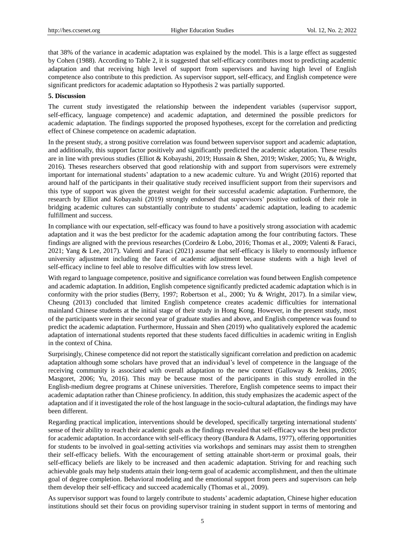that 38% of the variance in academic adaptation was explained by the model. This is a large effect as suggested by Cohen (1988). According to Table 2, it is suggested that self-efficacy contributes most to predicting academic adaptation and that receiving high level of support from supervisors and having high level of English competence also contribute to this prediction. As supervisor support, self-efficacy, and English competence were significant predictors for academic adaptation so Hypothesis 2 was partially supported.

## **5. Discussion**

The current study investigated the relationship between the independent variables (supervisor support, self-efficacy, language competence) and academic adaptation, and determined the possible predictors for academic adaptation. The findings supported the proposed hypotheses, except for the correlation and predicting effect of Chinese competence on academic adaptation.

In the present study, a strong positive correlation was found between supervisor support and academic adaptation, and additionally, this support factor positively and significantly predicted the academic adaptation. These results are in line with previous studies (Elliot & Kobayashi, 2019; Hussain & Shen, 2019; Wisker, 2005; Yu, & Wright, 2016). Theses researchers observed that good relationship with and support from supervisors were extremely important for international students" adaptation to a new academic culture. Yu and Wright (2016) reported that around half of the participants in their qualitative study received insufficient support from their supervisors and this type of support was given the greatest weight for their successful academic adaptation. Furthermore, the research by Elliot and Kobayashi (2019) strongly endorsed that supervisors" positive outlook of their role in bridging academic cultures can substantially contribute to students" academic adaptation, leading to academic fulfillment and success.

In compliance with our expectation, self-efficacy was found to have a positively strong association with academic adaptation and it was the best predictor for the academic adaptation among the four contributing factors. These findings are aligned with the previous researches (Cordeiro & Lobo, 2016; Thomas et al., 2009; Valenti & Faraci, 2021; Yang & Lee, 2017). Valenti and Faraci (2021) assume that self-efficacy is likely to enormously influence university adjustment including the facet of academic adjustment because students with a high level of self-efficacy incline to feel able to resolve difficulties with low stress level.

With regard to language competence, positive and significance correlation was found between English competence and academic adaptation. In addition, English competence significantly predicted academic adaptation which is in conformity with the prior studies (Berry, 1997; Robertson et al., 2000; Yu & Wright, 2017). In a similar view, Cheung (2013) concluded that limited English competence creates academic difficulties for international mainland Chinese students at the initial stage of their study in Hong Kong. However, in the present study, most of the participants were in their second year of graduate studies and above, and English competence was found to predict the academic adaptation. Furthermore, Hussain and Shen (2019) who qualitatively explored the academic adaptation of international students reported that these students faced difficulties in academic writing in English in the context of China.

Surprisingly, Chinese competence did not report the statistically significant correlation and prediction on academic adaptation although some scholars have proved that an individual"s level of competence in the language of the receiving community is associated with overall adaptation to the new context (Galloway & Jenkins, 2005; Masgoret, 2006; Yu, 2016). This may be because most of the participants in this study enrolled in the English-medium degree programs at Chinese universities. Therefore, English competence seems to impact their academic adaptation rather than Chinese proficiency. In addition, this study emphasizes the academic aspect of the adaptation and if it investigated the role of the host language in the socio-cultural adaptation, the findings may have been different.

Regarding practical implication, interventions should be developed, specifically targeting international students' sense of their ability to reach their academic goals as the findings revealed that self-efficacy was the best predictor for academic adaptation. In accordance with self-efficacy theory (Bandura & Adams, 1977), offering opportunities for students to be involved in goal-setting activities via workshops and seminars may assist them to strengthen their self-efficacy beliefs. With the encouragement of setting attainable short-term or proximal goals, their self-efficacy beliefs are likely to be increased and then academic adaptation. Striving for and reaching such achievable goals may help students attain their long-term goal of academic accomplishment, and then the ultimate goal of degree completion. Behavioral modeling and the emotional support from peers and supervisors can help them develop their self-efficacy and succeed academically (Thomas et al., 2009).

As supervisor support was found to largely contribute to students" academic adaptation, Chinese higher education institutions should set their focus on providing supervisor training in student support in terms of mentoring and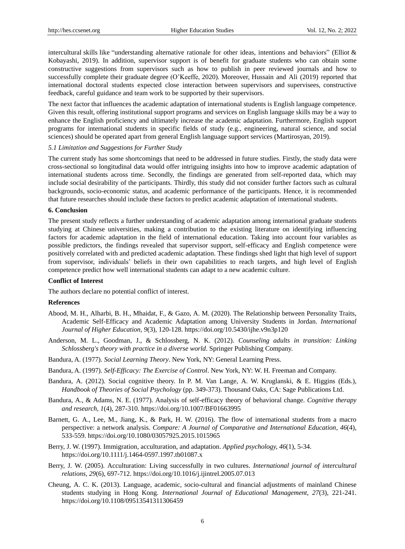intercultural skills like "understanding alternative rationale for other ideas, intentions and behaviors" (Elliot & Kobayashi, 2019). In addition, supervisor support is of benefit for graduate students who can obtain some constructive suggestions from supervisors such as how to publish in peer reviewed journals and how to successfully complete their graduate degree (O"Keeffe, 2020). Moreover, Hussain and Ali (2019) reported that international doctoral students expected close interaction between supervisors and supervisees, constructive feedback, careful guidance and team work to be supported by their supervisors.

The next factor that influences the academic adaptation of international students is English language competence. Given this result, offering institutional support programs and services on English language skills may be a way to enhance the English proficiency and ultimately increase the academic adaptation. Furthermore, English support programs for international students in specific fields of study (e.g., engineering, natural science, and social sciences) should be operated apart from general English language support services (Martirosyan, 2019).

#### *5.1 Limitation and Suggestions for Further Study*

The current study has some shortcomings that need to be addressed in future studies. Firstly, the study data were cross-sectional so longitudinal data would offer intriguing insights into how to improve academic adaptation of international students across time. Secondly, the findings are generated from self-reported data, which may include social desirability of the participants. Thirdly, this study did not consider further factors such as cultural backgrounds, socio-economic status, and academic performance of the participants. Hence, it is recommended that future researches should include these factors to predict academic adaptation of international students.

#### **6. Conclusion**

The present study reflects a further understanding of academic adaptation among international graduate students studying at Chinese universities, making a contribution to the existing literature on identifying influencing factors for academic adaptation in the field of international education. Taking into account four variables as possible predictors, the findings revealed that supervisor support, self-efficacy and English competence were positively correlated with and predicted academic adaptation. These findings shed light that high level of support from supervisor, individuals" beliefs in their own capabilities to reach targets, and high level of English competence predict how well international students can adapt to a new academic culture.

## **Conflict of Interest**

The authors declare no potential conflict of interest.

## **References**

- Abood, M. H., Alharbi, B. H., Mhaidat, F., & Gazo, A. M. (2020). The Relationship between Personality Traits, Academic Self-Efficacy and Academic Adaptation among University Students in Jordan. *International Journal of Higher Education, 9*(3), 120-128. https://doi.org/10.5430/ijhe.v9n3p120
- Anderson, M. L., Goodman, J., & Schlossberg, N. K. (2012). *Counseling adults in transition: Linking Schlossberg's theory with practice in a diverse world*. Springer Publishing Company.
- Bandura, A. (1977). *Social Learning Theory*. New York, NY: General Learning Press.
- Bandura, A. (1997). *Self-Efficacy: The Exercise of Control*. New York, NY: W. H. Freeman and Company.
- Bandura, A. (2012). Social cognitive theory. In P. M. Van Lange, A. W. Kruglanski, & E. Higgins (Eds.), *Handbook of Theories of Social Psychology* (pp. 349-373). Thousand Oaks, CA: Sage Publications Ltd.
- Bandura, A., & Adams, N. E. (1977). Analysis of self-efficacy theory of behavioral change. *Cognitive therapy and research, 1*(4), 287-310. https://doi.org/10.1007/BF01663995
- Barnett, G. A., Lee, M., Jiang, K., & Park, H. W. (2016). The flow of international students from a macro perspective: a network analysis. *Compare: A Journal of Comparative and International Education, 46*(4), 533-559. https://doi.org/10.1080/03057925.2015.1015965
- Berry, J. W. (1997). Immigration, acculturation, and adaptation. *Applied psychology, 46*(1), 5-34. https://doi.org/10.1111/j.1464-0597.1997.tb01087.x
- Berry, J. W. (2005). Acculturation: Living successfully in two cultures. *International journal of intercultural relations, 29*(6), 697-712. https://doi.org/10.1016/j.ijintrel.2005.07.013
- Cheung, A. C. K. (2013). Language, academic, socio-cultural and financial adjustments of mainland Chinese students studying in Hong Kong. *International Journal of Educational Management, 27*(3), 221-241. https://doi.org/10.1108/09513541311306459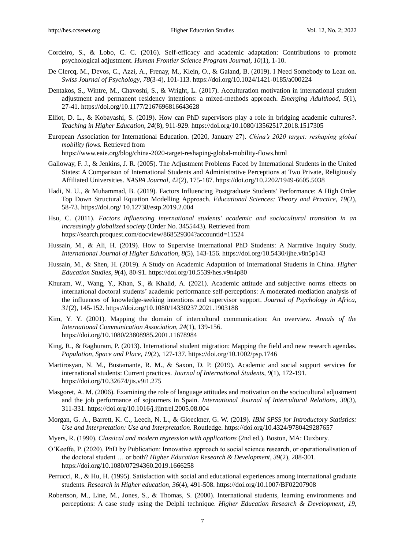- Cordeiro, S., & Lobo, C. C. (2016). Self-efficacy and academic adaptation: Contributions to promote psychological adjustment. *Human Frontier Science Program Journal, 10*(1), 1-10.
- De Clercq, M., Devos, C., Azzi, A., Frenay, M., Klein, O., & Galand, B. (2019). I Need Somebody to Lean on. *Swiss Journal of Psychology, 78*(3-4), 101-113. https://doi.org/10.1024/1421-0185/a000224
- Dentakos, S., Wintre, M., Chavoshi, S., & Wright, L. (2017). Acculturation motivation in international student adjustment and permanent residency intentions: a mixed-methods approach. *Emerging Adulthood, 5*(1), 27-41. https://doi.org/10.1177/2167696816643628
- Elliot, D. L., & Kobayashi, S. (2019). How can PhD supervisors play a role in bridging academic cultures?. *Teaching in Higher Education, 24*(8), 911-929. https://doi.org/10.1080/13562517.2018.1517305
- European Association for International Education. (2020, January 27). *China's 2020 target: reshaping global mobility flows.* Retrieved from

https://www.eaie.org/blog/china-2020-target-reshaping-global-mobility-flows.html

- Galloway, F. J., & Jenkins, J. R. (2005). The Adjustment Problems Faced by International Students in the United States: A Comparison of International Students and Administrative Perceptions at Two Private, Religiously Affiliated Universities. *NASPA Journal, 42*(2), 175-187. https://doi.org/10.2202/1949-6605.5038
- Hadi, N. U., & Muhammad, B. (2019). Factors Influencing Postgraduate Students' Performance: A High Order Top Down Structural Equation Modelling Approach. *Educational Sciences: Theory and Practice, 19*(2), 58-73. https://doi.org/ 10.12738/estp.2019.2.004
- Hsu, C. (2011). *Factors influencing international students' academic and sociocultural transition in an increasingly globalized society* (Order No. 3455443). Retrieved from https://search.proquest.com/docview/868529304?accountid=11524
- Hussain, M., & Ali, H. (2019). How to Supervise International PhD Students: A Narrative Inquiry Study. *International Journal of Higher Education, 8*(5), 143-156. https://doi.org/10.5430/ijhe.v8n5p143
- Hussain, M., & Shen, H. (2019). A Study on Academic Adaptation of International Students in China. *Higher Education Studies, 9*(4), 80-91. https://doi.org/10.5539/hes.v9n4p80
- Khuram, W., Wang, Y., Khan, S., & Khalid, A. (2021). Academic attitude and subjective norms effects on international doctoral students" academic performance self-perceptions: A moderated-mediation analysis of the influences of knowledge-seeking intentions and supervisor support. *Journal of Psychology in Africa, 31*(2), 145-152. https://doi.org/10.1080/14330237.2021.1903188
- Kim, Y. Y. (2001). Mapping the domain of intercultural communication: An overview. *Annals of the International Communication Association, 24*(1), 139-156. https://doi.org/10.1080/23808985.2001.11678984
- King, R., & Raghuram, P. (2013). International student migration: Mapping the field and new research agendas. *Population, Space and Place, 19*(2), 127-137. https://doi.org/10.1002/psp.1746
- Martirosyan, N. M., Bustamante, R. M., & Saxon, D. P. (2019). Academic and social support services for international students: Current practices. *Journal of International Students, 9*(1), 172-191. https://doi.org/10.32674/jis.v9i1.275
- Masgoret, A. M. (2006). Examining the role of language attitudes and motivation on the sociocultural adjustment and the job performance of sojourners in Spain. *International Journal of Intercultural Relations, 30*(3), 311-331. https://doi.org/10.1016/j.ijintrel.2005.08.004
- Morgan, G. A., Barrett, K. C., Leech, N. L., & Gloeckner, G. W. (2019). *IBM SPSS for Introductory Statistics: Use and Interpretation: Use and Interpretation*. Routledge. https://doi.org/10.4324/9780429287657
- Myers, R. (1990). *Classical and modern regression with applications* (2nd ed.). Boston, MA: Duxbury.
- O"Keeffe, P. (2020). PhD by Publication: Innovative approach to social science research, or operationalisation of the doctoral student … or both? *Higher Education Research & Development, 39*(2), 288-301. https://doi.org/10.1080/07294360.2019.1666258
- Perrucci, R., & Hu, H. (1995). Satisfaction with social and educational experiences among international graduate students. *Research in Higher education, 36*(4), 491-508. https://doi.org/10.1007/BF02207908
- Robertson, M., Line, M., Jones, S., & Thomas, S. (2000). International students, learning environments and perceptions: A case study using the Delphi technique. *Higher Education Research & Development, 19*,